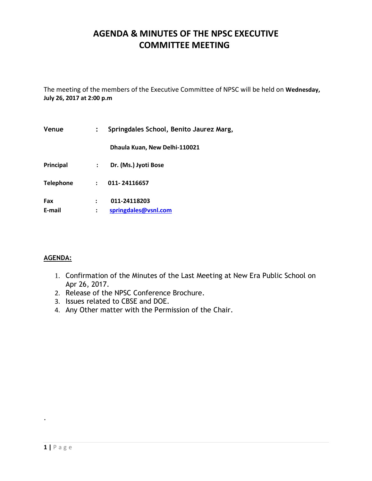# **AGENDA & MINUTES OF THE NPSC EXECUTIVE COMMITTEE MEETING**

The meeting of the members of the Executive Committee of NPSC will be held on **Wednesday, July 26, 2017 at 2:00 p.m**

| Venue            |                      | Springdales School, Benito Jaurez Marg, |
|------------------|----------------------|-----------------------------------------|
|                  |                      | Dhaula Kuan, New Delhi-110021           |
| Principal        | $\ddot{\cdot}$       | Dr. (Ms.) Jyoti Bose                    |
| <b>Telephone</b> | $\ddot{\phantom{0}}$ | 011-24116657                            |
| Fax<br>E-mail    |                      | 011-24118203<br>springdales@vsnl.com    |

### **AGENDA:**

- 1. Confirmation of the Minutes of the Last Meeting at New Era Public School on Apr 26, 2017.
- 2. Release of the NPSC Conference Brochure.
- 3. Issues related to CBSE and DOE.
- 4. Any Other matter with the Permission of the Chair.

.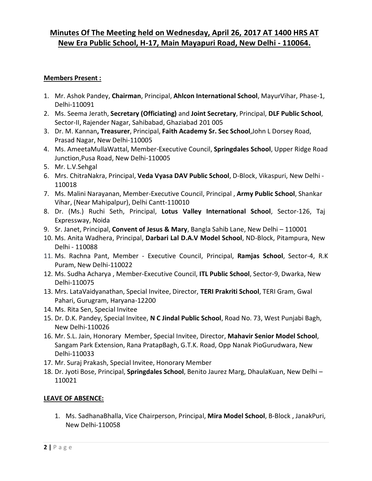# **Minutes Of The Meeting held on Wednesday, April 26, 2017 AT 1400 HRS AT New Era Public School, H-17, Main Mayapuri Road, New Delhi - 110064.**

### **Members Present :**

- 1. Mr. Ashok Pandey, **Chairman**, Principal, **Ahlcon International School**, MayurVihar, Phase-1, Delhi-110091
- 2. Ms. Seema Jerath, **Secretary (Officiating)** and **Joint Secretary**, Principal, **DLF Public School**, Sector-II, Rajender Nagar, Sahibabad, Ghaziabad 201 005
- 3. Dr. M. Kannan**, Treasurer**, Principal, **Faith Academy Sr. Sec School**,John L Dorsey Road, Prasad Nagar, New Delhi-110005
- 4. Ms. AmeetaMullaWattal, Member-Executive Council, **Springdales School**, Upper Ridge Road Junction,Pusa Road, New Delhi-110005
- 5. Mr. L.V.Sehgal
- 6. Mrs. ChitraNakra, Principal, **Veda Vyasa DAV Public School**, D-Block, Vikaspuri, New Delhi 110018
- 7. Ms. Malini Narayanan, Member-Executive Council, Principal , **Army Public School**, Shankar Vihar, (Near Mahipalpur), Delhi Cantt-110010
- 8. Dr. (Ms.) Ruchi Seth, Principal, **Lotus Valley International School**, Sector-126, Taj Expressway, Noida
- 9. Sr. Janet, Principal, **Convent of Jesus & Mary**, Bangla Sahib Lane, New Delhi 110001
- 10. Ms. Anita Wadhera, Principal, **Darbari Lal D.A.V Model School**, ND-Block, Pitampura, New Delhi - 110088
- 11. Ms. Rachna Pant, Member Executive Council, Principal, **Ramjas School**, Sector-4, R.K Puram, New Delhi-110022
- 12. Ms. Sudha Acharya , Member-Executive Council, **ITL Public School**, Sector-9, Dwarka, New Delhi-110075
- 13. Mrs. LataVaidyanathan, Special Invitee, Director, **TERI Prakriti School**, TERI Gram, Gwal Pahari, Gurugram, Haryana-12200
- 14. Ms. Rita Sen, Special Invitee
- 15. Dr. D.K. Pandey, Special Invitee, **N C Jindal Public School**, Road No. 73, West Punjabi Bagh, New Delhi-110026
- 16. Mr. S.L. Jain, Honorary Member, Special Invitee, Director, **Mahavir Senior Model School**, Sangam Park Extension, Rana PratapBagh, G.T.K. Road, Opp Nanak PioGurudwara, New Delhi-110033
- 17. Mr. Suraj Prakash, Special Invitee, Honorary Member
- 18. Dr. Jyoti Bose, Principal, **Springdales School**, Benito Jaurez Marg, DhaulaKuan, New Delhi 110021

### **LEAVE OF ABSENCE:**

1. Ms. SadhanaBhalla, Vice Chairperson, Principal, **Mira Model School**, B-Block , JanakPuri, New Delhi-110058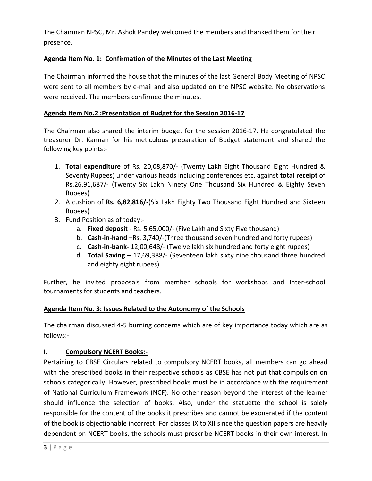The Chairman NPSC, Mr. Ashok Pandey welcomed the members and thanked them for their presence.

# **Agenda Item No. 1: Confirmation of the Minutes of the Last Meeting**

The Chairman informed the house that the minutes of the last General Body Meeting of NPSC were sent to all members by e-mail and also updated on the NPSC website. No observations were received. The members confirmed the minutes.

## **Agenda Item No.2 :Presentation of Budget for the Session 2016-17**

The Chairman also shared the interim budget for the session 2016-17. He congratulated the treasurer Dr. Kannan for his meticulous preparation of Budget statement and shared the following key points:-

- 1. **Total expenditure** of Rs. 20,08,870/- (Twenty Lakh Eight Thousand Eight Hundred & Seventy Rupees) under various heads including conferences etc. against **total receipt** of Rs.26,91,687/- (Twenty Six Lakh Ninety One Thousand Six Hundred & Eighty Seven Rupees)
- 2. A cushion of **Rs. 6,82,816/-**(Six Lakh Eighty Two Thousand Eight Hundred and Sixteen Rupees)
- 3. Fund Position as of today:
	- a. **Fixed deposit** Rs. 5,65,000/- (Five Lakh and Sixty Five thousand)
	- b. **Cash-in-hand –**Rs. 3,740/-(Three thousand seven hundred and forty rupees)
	- c. **Cash-in-bank-** 12,00,648/- (Twelve lakh six hundred and forty eight rupees)
	- d. **Total Saving** 17,69,388/- (Seventeen lakh sixty nine thousand three hundred and eighty eight rupees)

Further, he invited proposals from member schools for workshops and Inter-school tournaments for students and teachers.

### **Agenda Item No. 3: Issues Related to the Autonomy of the Schools**

The chairman discussed 4-5 burning concerns which are of key importance today which are as follows:-

### **I. Compulsory NCERT Books:-**

Pertaining to CBSE Circulars related to compulsory NCERT books, all members can go ahead with the prescribed books in their respective schools as CBSE has not put that compulsion on schools categorically. However, prescribed books must be in accordance with the requirement of National Curriculum Framework (NCF). No other reason beyond the interest of the learner should influence the selection of books. Also, under the statuette the school is solely responsible for the content of the books it prescribes and cannot be exonerated if the content of the book is objectionable incorrect. For classes IX to XII since the question papers are heavily dependent on NCERT books, the schools must prescribe NCERT books in their own interest. In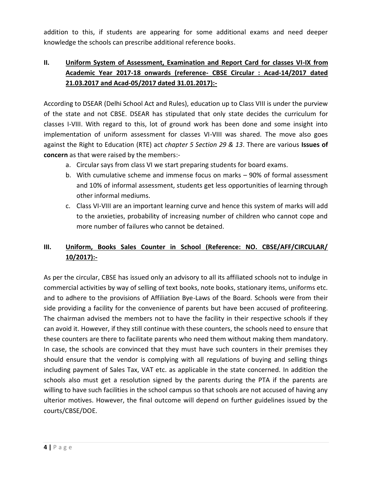addition to this, if students are appearing for some additional exams and need deeper knowledge the schools can prescribe additional reference books.

# **II. Uniform System of Assessment, Examination and Report Card for classes VI-IX from Academic Year 2017-18 onwards (reference- CBSE Circular : Acad-14/2017 dated 21.03.2017 and Acad-05/2017 dated 31.01.2017):-**

According to DSEAR (Delhi School Act and Rules), education up to Class VIII is under the purview of the state and not CBSE. DSEAR has stipulated that only state decides the curriculum for classes I-VIII. With regard to this, lot of ground work has been done and some insight into implementation of uniform assessment for classes VI-VIII was shared. The move also goes against the Right to Education (RTE) act *chapter 5 Section 29 & 13*. There are various **Issues of concern** as that were raised by the members:-

- a. Circular says from class VI we start preparing students for board exams.
- b. With cumulative scheme and immense focus on marks 90% of formal assessment and 10% of informal assessment, students get less opportunities of learning through other informal mediums.
- c. Class VI-VIII are an important learning curve and hence this system of marks will add to the anxieties, probability of increasing number of children who cannot cope and more number of failures who cannot be detained.

# **III. Uniform, Books Sales Counter in School (Reference: NO. CBSE/AFF/CIRCULAR/ 10/2017):-**

As per the circular, CBSE has issued only an advisory to all its affiliated schools not to indulge in commercial activities by way of selling of text books, note books, stationary items, uniforms etc. and to adhere to the provisions of Affiliation Bye-Laws of the Board. Schools were from their side providing a facility for the convenience of parents but have been accused of profiteering. The chairman advised the members not to have the facility in their respective schools if they can avoid it. However, if they still continue with these counters, the schools need to ensure that these counters are there to facilitate parents who need them without making them mandatory. In case, the schools are convinced that they must have such counters in their premises they should ensure that the vendor is complying with all regulations of buying and selling things including payment of Sales Tax, VAT etc. as applicable in the state concerned. In addition the schools also must get a resolution signed by the parents during the PTA if the parents are willing to have such facilities in the school campus so that schools are not accused of having any ulterior motives. However, the final outcome will depend on further guidelines issued by the courts/CBSE/DOE.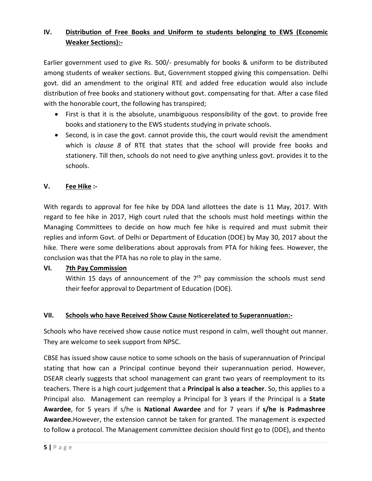# **IV. Distribution of Free Books and Uniform to students belonging to EWS (Economic Weaker Sections):-**

Earlier government used to give Rs. 500/- presumably for books & uniform to be distributed among students of weaker sections. But, Government stopped giving this compensation. Delhi govt. did an amendment to the original RTE and added free education would also include distribution of free books and stationery without govt. compensating for that. After a case filed with the honorable court, the following has transpired;

- First is that it is the absolute, unambiguous responsibility of the govt. to provide free books and stationery to the EWS students studying in private schools.
- Second, is in case the govt. cannot provide this, the court would revisit the amendment which is *clause 8* of RTE that states that the school will provide free books and stationery. Till then, schools do not need to give anything unless govt. provides it to the schools.

## **V. Fee Hike :-**

With regards to approval for fee hike by DDA land allottees the date is 11 May, 2017. With regard to fee hike in 2017, High court ruled that the schools must hold meetings within the Managing Committees to decide on how much fee hike is required and must submit their replies and inform Govt. of Delhi or Department of Education (DOE) by May 30, 2017 about the hike. There were some deliberations about approvals from PTA for hiking fees. However, the conclusion was that the PTA has no role to play in the same.

# **VI. 7th Pay Commission**

Within 15 days of announcement of the  $7<sup>th</sup>$  pay commission the schools must send their feefor approval to Department of Education (DOE).

# **VII. Schools who have Received Show Cause Noticerelated to Superannuation:-**

Schools who have received show cause notice must respond in calm, well thought out manner. They are welcome to seek support from NPSC.

CBSE has issued show cause notice to some schools on the basis of superannuation of Principal stating that how can a Principal continue beyond their superannuation period. However, DSEAR clearly suggests that school management can grant two years of reemployment to its teachers. There is a high court judgement that a **Principal is also a teacher**. So, this applies to a Principal also. Management can reemploy a Principal for 3 years if the Principal is a **State Awardee**, for 5 years if s/he is **National Awardee** and for 7 years if **s/he is Padmashree Awardee.**However, the extension cannot be taken for granted. The management is expected to follow a protocol. The Management committee decision should first go to (DDE), and thento